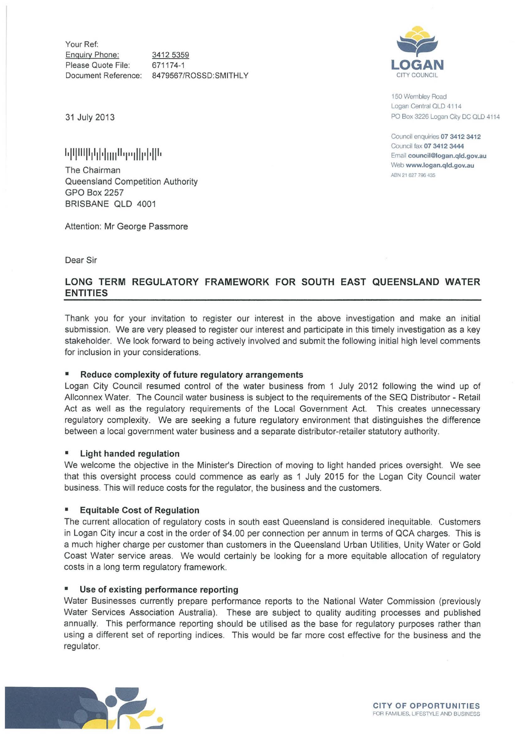Your Ref: Enquiry Phone: Please Quote File: Document Reference: 8479567/ROSSD:SMITHLY 3412 5359 671174-1



150 Wembley Road Logan Central QLD 4114 PO Box 3226 logan City DC OLD 4114

Council enquiries 07 3412 3412 Council fax 07 3412 3444 Email council@logan.qld.gov.au Web www.logan.qld.gov.au ABN 21627 796435

31 July 2013

# **1.1 II Ill II 1111·11111 <sup>11</sup> ·1''1111·1·1** II I

The Chairman Queensland Competition Authority GPO Box 2257 BRISBANE QLD 4001

Attention: Mr George Passmore

Dear Sir

## **LONG TERM REGULATORY FRAMEWORK FOR SOUTH EAST QUEENSLAND WATER ENTITIES**

Thank you for your invitation to register our interest in the above investigation and make an initial submission. We are very pleased to register our interest and participate in this timely investigation as a key stakeholder. We look forward to being actively involved and submit the following initial high level comments for inclusion in your considerations.

### • **Reduce complexity of future regulatory arrangements**

Logan City Council resumed control of the water business from 1 July 2012 following the wind up of Allconnex Water. The Council water business is subject to the requirements of the SEQ Distributor- Retail Act as well as the regulatory requirements of the Local Government Act. This creates unnecessary regulatory complexity. We are seeking a future regulatory environment that distinguishes the difference between a local government water business and a separate distributor-retailer statutory authority.

### • **Light handed regulation**

We welcome the objective in the Minister's Direction of moving to light handed prices oversight. We see that this oversight process could commence as early as 1 July 2015 for the Logan City Council water business. This will reduce costs for the regulator, the business and the customers.

### • **Equitable Cost of Regulation**

The current allocation of regulatory costs in south east Queensland is considered inequitable. Customers in Logan City incur a cost in the order of \$4.00 per connection per annum in terms of QCA charges. This is a much higher charge per customer than customers in the Queensland Urban Utilities, Unity Water or Gold Coast Water service areas. We would certainly be looking for a more equitable allocation of regulatory costs in a long term regulatory framework.

### • **Use of existing performance reporting**

Water Businesses currently prepare performance reports to the National Water Commission (previously Water Services Association Australia). These are subject to quality auditing processes and published annually. This performance reporting should be utilised as the base for regulatory purposes rather than using a different set of reporting indices. This would be far more cost effective for the business and the regulator.